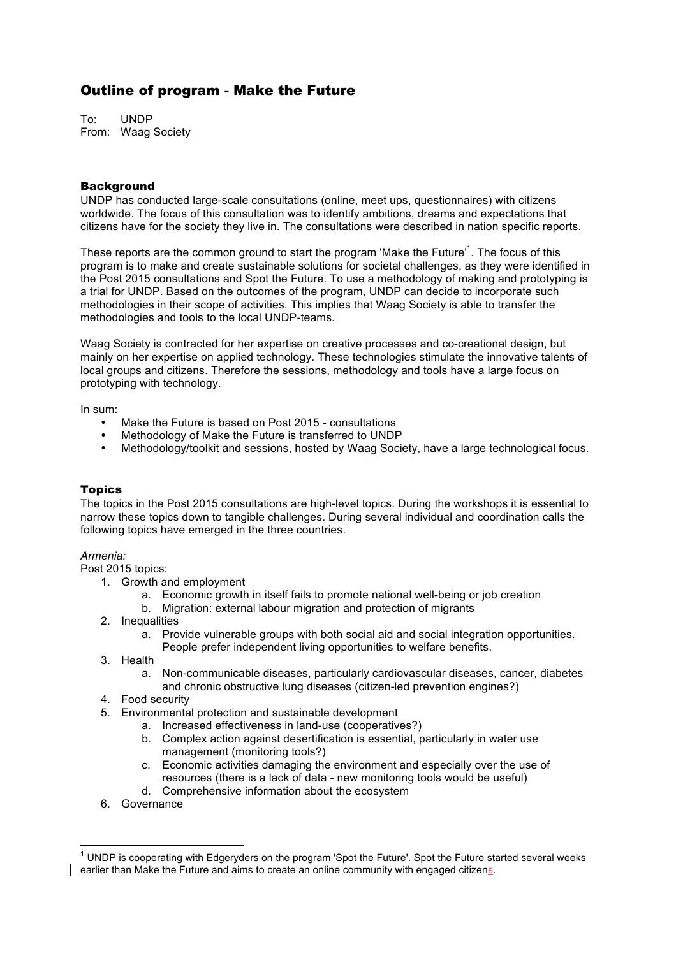# Outline of program - Make the Future

To: UNDP From: Waag Society

## **Background**

UNDP has conducted large-scale consultations (online, meet ups, questionnaires) with citizens worldwide. The focus of this consultation was to identify ambitions, dreams and expectations that citizens have for the society they live in. The consultations were described in nation specific reports.

These reports are the common ground to start the program 'Make the Future'<sup>1</sup>. The focus of this program is to make and create sustainable solutions for societal challenges, as they were identified in the Post 2015 consultations and Spot the Future. To use a methodology of making and prototyping is a trial for UNDP. Based on the outcomes of the program, UNDP can decide to incorporate such methodologies in their scope of activities. This implies that Waag Society is able to transfer the methodologies and tools to the local UNDP-teams.

Waag Society is contracted for her expertise on creative processes and co-creational design, but mainly on her expertise on applied technology. These technologies stimulate the innovative talents of local groups and citizens. Therefore the sessions, methodology and tools have a large focus on prototyping with technology.

In sum:

- Make the Future is based on Post 2015 consultations
- Methodology of Make the Future is transferred to UNDP
- Methodology/toolkit and sessions, hosted by Waag Society, have a large technological focus.

## Topics

The topics in the Post 2015 consultations are high-level topics. During the workshops it is essential to narrow these topics down to tangible challenges. During several individual and coordination calls the following topics have emerged in the three countries.

### *Armenia:*

Post 2015 topics:

- 1. Growth and employment
	- a. Economic growth in itself fails to promote national well-being or job creation
	- b. Migration: external labour migration and protection of migrants
- 2. Inequalities
	- a. Provide vulnerable groups with both social aid and social integration opportunities. People prefer independent living opportunities to welfare benefits.
- 3. Health
	- a. Non-communicable diseases, particularly cardiovascular diseases, cancer, diabetes and chronic obstructive lung diseases (citizen-led prevention engines?)
- 4. Food security
- 5. Environmental protection and sustainable development
	- a. Increased effectiveness in land-use (cooperatives?)
	- b. Complex action against desertification is essential, particularly in water use management (monitoring tools?)
	- c. Economic activities damaging the environment and especially over the use of resources (there is a lack of data - new monitoring tools would be useful)
	- d. Comprehensive information about the ecosystem
- 6. Governance

 $<sup>1</sup>$  UNDP is cooperating with Edgeryders on the program 'Spot the Future'. Spot the Future started several weeks</sup> earlier than Make the Future and aims to create an online community with engaged citizens.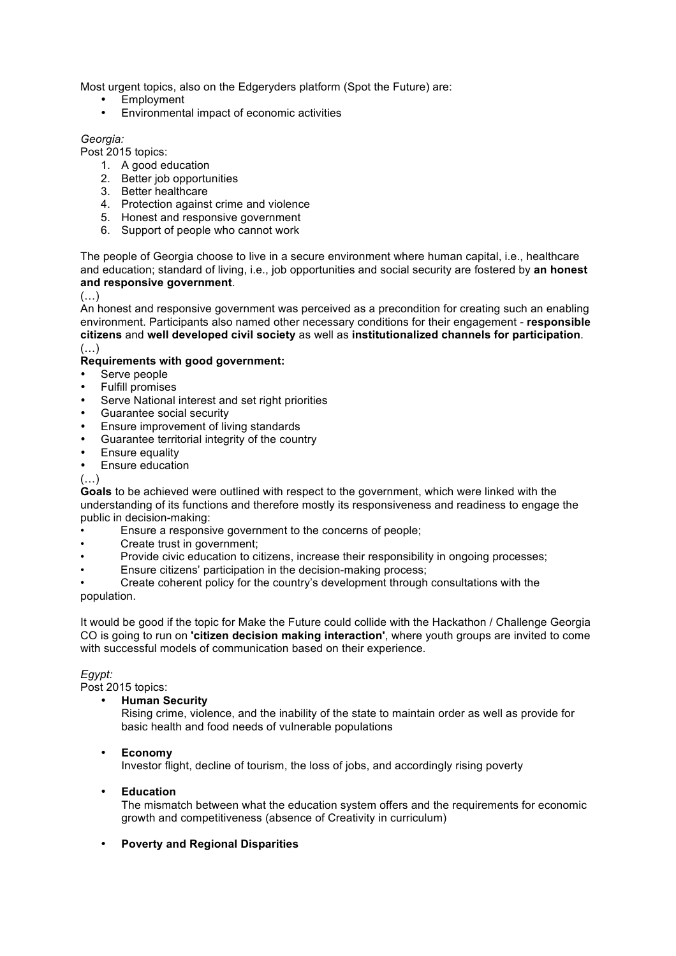Most urgent topics, also on the Edgeryders platform (Spot the Future) are:

- **Employment**
- Environmental impact of economic activities

## *Georgia:*

Post 2015 topics:

- 1. A good education
- 2. Better job opportunities
- 3. Better healthcare
- 4. Protection against crime and violence
- 5. Honest and responsive government
- 6. Support of people who cannot work

The people of Georgia choose to live in a secure environment where human capital, i.e., healthcare and education; standard of living, i.e., job opportunities and social security are fostered by **an honest and responsive government**.

## (…)

An honest and responsive government was perceived as a precondition for creating such an enabling environment. Participants also named other necessary conditions for their engagement - **responsible citizens** and **well developed civil society** as well as **institutionalized channels for participation**.  $(\ldots)$ 

## **Requirements with good government:**

- Serve people
- Fulfill promises
- Serve National interest and set right priorities
- Guarantee social security
- Ensure improvement of living standards
- Guarantee territorial integrity of the country
- Ensure equality<br>• Ensure education
- Ensure education

### (…)

**Goals** to be achieved were outlined with respect to the government, which were linked with the understanding of its functions and therefore mostly its responsiveness and readiness to engage the public in decision-making:

- Ensure a responsive government to the concerns of people;
- Create trust in government;
- Provide civic education to citizens, increase their responsibility in ongoing processes;
- Ensure citizens' participation in the decision-making process;

• Create coherent policy for the country's development through consultations with the population.

It would be good if the topic for Make the Future could collide with the Hackathon / Challenge Georgia CO is going to run on **'citizen decision making interaction'**, where youth groups are invited to come with successful models of communication based on their experience.

## *Egypt:*

Post 2015 topics:

• **Human Security**

Rising crime, violence, and the inability of the state to maintain order as well as provide for basic health and food needs of vulnerable populations

## • **Economy**

Investor flight, decline of tourism, the loss of jobs, and accordingly rising poverty

## • **Education**

The mismatch between what the education system offers and the requirements for economic growth and competitiveness (absence of Creativity in curriculum)

## • **Poverty and Regional Disparities**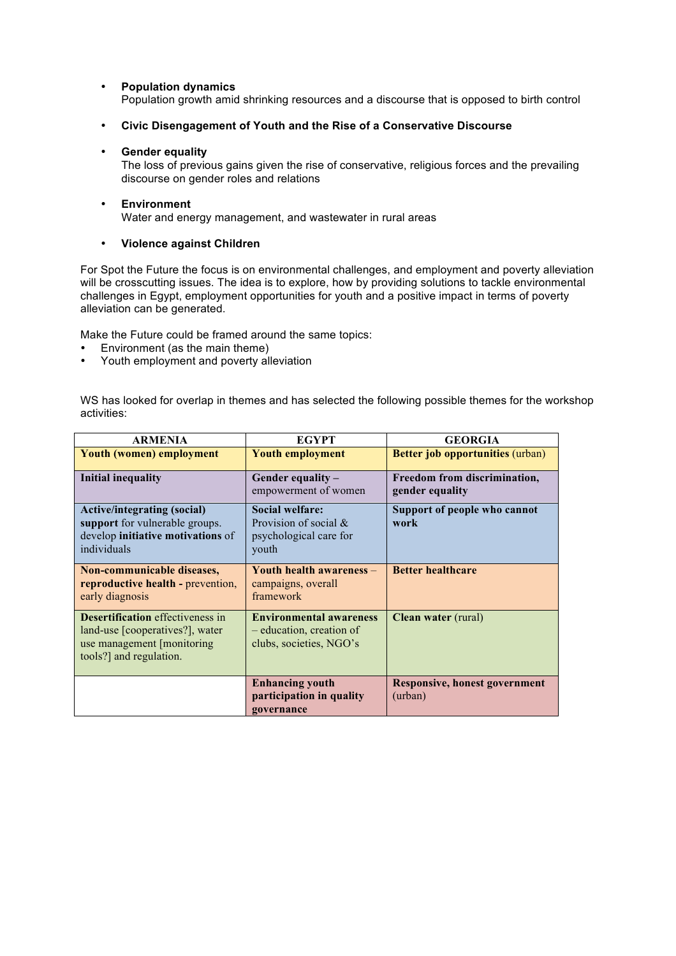## • **Population dynamics**

Population growth amid shrinking resources and a discourse that is opposed to birth control

• **Civic Disengagement of Youth and the Rise of a Conservative Discourse**

## • **Gender equality**

The loss of previous gains given the rise of conservative, religious forces and the prevailing discourse on gender roles and relations

## • **Environment**

Water and energy management, and wastewater in rural areas

## • **Violence against Children**

For Spot the Future the focus is on environmental challenges, and employment and poverty alleviation will be crosscutting issues. The idea is to explore, how by providing solutions to tackle environmental challenges in Egypt, employment opportunities for youth and a positive impact in terms of poverty alleviation can be generated.

Make the Future could be framed around the same topics:

- Environment (as the main theme)<br>• Youth employment and poverty all
- Youth employment and poverty alleviation

WS has looked for overlap in themes and has selected the following possible themes for the workshop activities:

| <b>ARMENIA</b>                                                                                                                       | <b>EGYPT</b>                                                                          | <b>GEORGIA</b>                                  |
|--------------------------------------------------------------------------------------------------------------------------------------|---------------------------------------------------------------------------------------|-------------------------------------------------|
| <b>Youth (women) employment</b>                                                                                                      | <b>Youth employment</b>                                                               | <b>Better job opportunities (urban)</b>         |
| <b>Initial inequality</b>                                                                                                            | Gender equality -<br>empowerment of women                                             | Freedom from discrimination,<br>gender equality |
| <b>Active/integrating (social)</b><br>support for vulnerable groups.<br>develop initiative motivations of<br>individuals             | <b>Social welfare:</b><br>Provision of social &<br>psychological care for<br>youth    | Support of people who cannot<br>work            |
| Non-communicable diseases,<br>reproductive health - prevention,<br>early diagnosis                                                   | <b>Youth health awareness -</b><br>campaigns, overall<br>framework                    | <b>Better healthcare</b>                        |
| <b>Desertification</b> effectiveness in<br>land-use [cooperatives?], water<br>use management [monitoring]<br>tools?] and regulation. | <b>Environmental awareness</b><br>– education, creation of<br>clubs, societies, NGO's | <b>Clean water</b> (rural)                      |
|                                                                                                                                      | <b>Enhancing youth</b><br>participation in quality<br>governance                      | <b>Responsive, honest government</b><br>(urban) |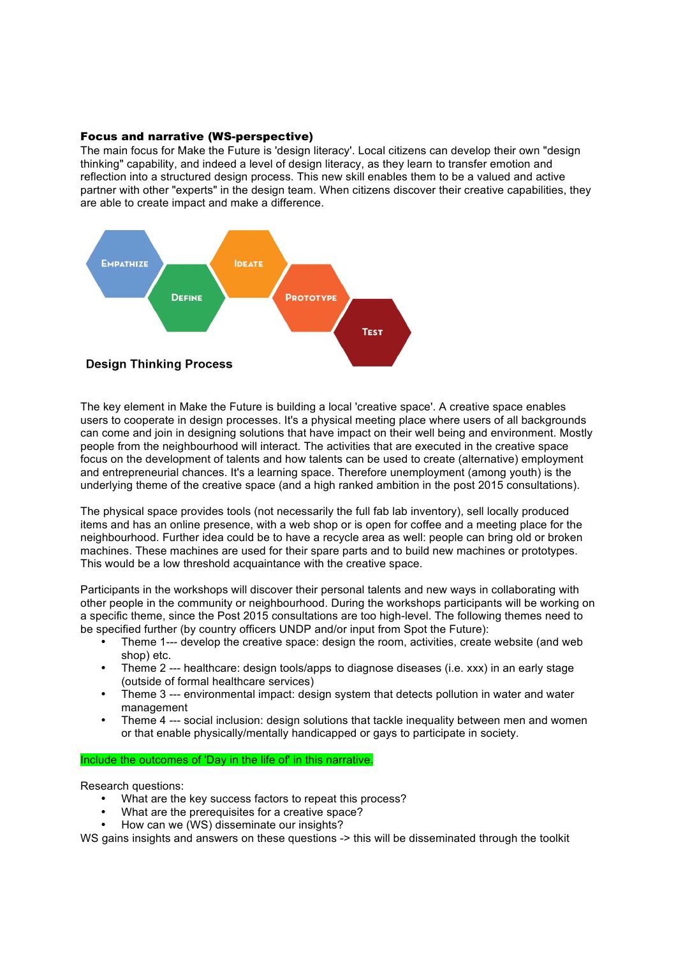### Focus and narrative (WS-perspective)

The main focus for Make the Future is 'design literacy'. Local citizens can develop their own "design thinking" capability, and indeed a level of design literacy, as they learn to transfer emotion and reflection into a structured design process. This new skill enables them to be a valued and active partner with other "experts" in the design team. When citizens discover their creative capabilities, they are able to create impact and make a difference.



The key element in Make the Future is building a local 'creative space'. A creative space enables users to cooperate in design processes. It's a physical meeting place where users of all backgrounds can come and join in designing solutions that have impact on their well being and environment. Mostly people from the neighbourhood will interact. The activities that are executed in the creative space focus on the development of talents and how talents can be used to create (alternative) employment and entrepreneurial chances. It's a learning space. Therefore unemployment (among youth) is the underlying theme of the creative space (and a high ranked ambition in the post 2015 consultations).

The physical space provides tools (not necessarily the full fab lab inventory), sell locally produced items and has an online presence, with a web shop or is open for coffee and a meeting place for the neighbourhood. Further idea could be to have a recycle area as well: people can bring old or broken machines. These machines are used for their spare parts and to build new machines or prototypes. This would be a low threshold acquaintance with the creative space.

Participants in the workshops will discover their personal talents and new ways in collaborating with other people in the community or neighbourhood. During the workshops participants will be working on a specific theme, since the Post 2015 consultations are too high-level. The following themes need to be specified further (by country officers UNDP and/or input from Spot the Future):

- Theme 1--- develop the creative space: design the room, activities, create website (and web shop) etc.
- Theme 2 --- healthcare: design tools/apps to diagnose diseases (i.e. xxx) in an early stage (outside of formal healthcare services)
- Theme 3 --- environmental impact: design system that detects pollution in water and water management
- Theme 4 --- social inclusion: design solutions that tackle inequality between men and women or that enable physically/mentally handicapped or gays to participate in society.

#### Include the outcomes of 'Day in the life of' in this narrative.

Research questions:

- What are the key success factors to repeat this process?
- What are the prerequisites for a creative space?
- How can we (WS) disseminate our insights?

WS gains insights and answers on these questions -> this will be disseminated through the toolkit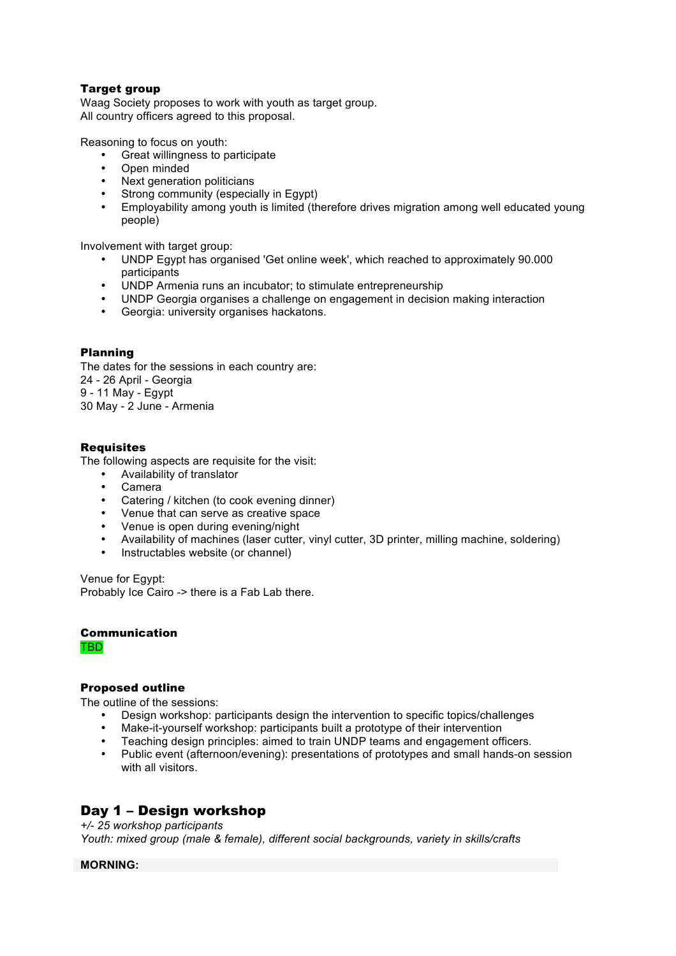## Target group

Waag Society proposes to work with youth as target group. All country officers agreed to this proposal.

Reasoning to focus on youth:

- Great willingness to participate
- Open minded
- Next generation politicians
- Strong community (especially in Egypt)
- Employability among youth is limited (therefore drives migration among well educated young people)

Involvement with target group:

- UNDP Egypt has organised 'Get online week', which reached to approximately 90.000 participants
- UNDP Armenia runs an incubator; to stimulate entrepreneurship
- UNDP Georgia organises a challenge on engagement in decision making interaction
- Georgia: university organises hackatons.

## Planning

The dates for the sessions in each country are: 24 - 26 April - Georgia 9 - 11 May - Egypt 30 May - 2 June - Armenia

## **Requisites**

The following aspects are requisite for the visit:

- Availability of translator
- Camera
- Catering / kitchen (to cook evening dinner)
- Venue that can serve as creative space
- Venue is open during evening/night
- Availability of machines (laser cutter, vinyl cutter, 3D printer, milling machine, soldering)
- Instructables website (or channel)

Venue for Egypt: Probably Ice Cairo -> there is a Fab Lab there.

## Communication

TBD

## Proposed outline

The outline of the sessions:

- Design workshop: participants design the intervention to specific topics/challenges
- Make-it-yourself workshop: participants built a prototype of their intervention
- Teaching design principles: aimed to train UNDP teams and engagement officers.
- Public event (afternoon/evening): presentations of prototypes and small hands-on session with all visitors.

## Day 1 – Design workshop

*+/- 25 workshop participants Youth: mixed group (male & female), different social backgrounds, variety in skills/crafts*

## **MORNING:**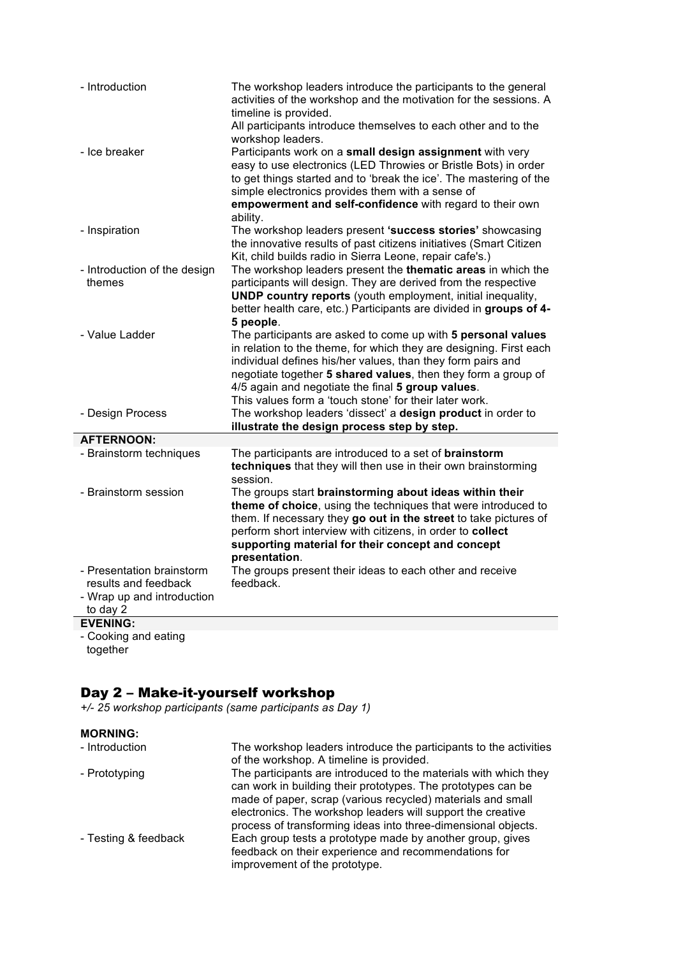| - Introduction                                                                              | The workshop leaders introduce the participants to the general<br>activities of the workshop and the motivation for the sessions. A<br>timeline is provided.<br>All participants introduce themselves to each other and to the                                                                                                                                                    |
|---------------------------------------------------------------------------------------------|-----------------------------------------------------------------------------------------------------------------------------------------------------------------------------------------------------------------------------------------------------------------------------------------------------------------------------------------------------------------------------------|
| - Ice breaker                                                                               | workshop leaders.<br>Participants work on a small design assignment with very<br>easy to use electronics (LED Throwies or Bristle Bots) in order<br>to get things started and to 'break the ice'. The mastering of the<br>simple electronics provides them with a sense of<br>empowerment and self-confidence with regard to their own<br>ability.                                |
| - Inspiration                                                                               | The workshop leaders present 'success stories' showcasing<br>the innovative results of past citizens initiatives (Smart Citizen<br>Kit, child builds radio in Sierra Leone, repair cafe's.)                                                                                                                                                                                       |
| - Introduction of the design<br>themes                                                      | The workshop leaders present the thematic areas in which the<br>participants will design. They are derived from the respective<br><b>UNDP country reports</b> (youth employment, initial inequality,<br>better health care, etc.) Participants are divided in groups of 4-<br>5 people.                                                                                           |
| - Value Ladder                                                                              | The participants are asked to come up with 5 personal values<br>in relation to the theme, for which they are designing. First each<br>individual defines his/her values, than they form pairs and<br>negotiate together 5 shared values, then they form a group of<br>4/5 again and negotiate the final 5 group values.<br>This values form a 'touch stone' for their later work. |
| - Design Process                                                                            | The workshop leaders 'dissect' a design product in order to<br>illustrate the design process step by step.                                                                                                                                                                                                                                                                        |
| <b>AFTERNOON:</b>                                                                           |                                                                                                                                                                                                                                                                                                                                                                                   |
| - Brainstorm techniques                                                                     | The participants are introduced to a set of brainstorm<br>techniques that they will then use in their own brainstorming<br>session.                                                                                                                                                                                                                                               |
| - Brainstorm session                                                                        | The groups start brainstorming about ideas within their<br>theme of choice, using the techniques that were introduced to<br>them. If necessary they go out in the street to take pictures of<br>perform short interview with citizens, in order to collect<br>supporting material for their concept and concept<br>presentation.                                                  |
| - Presentation brainstorm<br>results and feedback<br>- Wrap up and introduction<br>to day 2 | The groups present their ideas to each other and receive<br>feedback.                                                                                                                                                                                                                                                                                                             |
| <b>EVENING:</b>                                                                             |                                                                                                                                                                                                                                                                                                                                                                                   |
| - Cooking and eating<br>together                                                            |                                                                                                                                                                                                                                                                                                                                                                                   |

# Day 2 – Make-it-yourself workshop

*+/- 25 workshop participants (same participants as Day 1)*

## **MORNING:**

| - Introduction       | The workshop leaders introduce the participants to the activities<br>of the workshop. A timeline is provided.                                                                                                                                                                                                                   |
|----------------------|---------------------------------------------------------------------------------------------------------------------------------------------------------------------------------------------------------------------------------------------------------------------------------------------------------------------------------|
| - Prototyping        | The participants are introduced to the materials with which they<br>can work in building their prototypes. The prototypes can be<br>made of paper, scrap (various recycled) materials and small<br>electronics. The workshop leaders will support the creative<br>process of transforming ideas into three-dimensional objects. |
| - Testing & feedback | Each group tests a prototype made by another group, gives<br>feedback on their experience and recommendations for<br>improvement of the prototype.                                                                                                                                                                              |